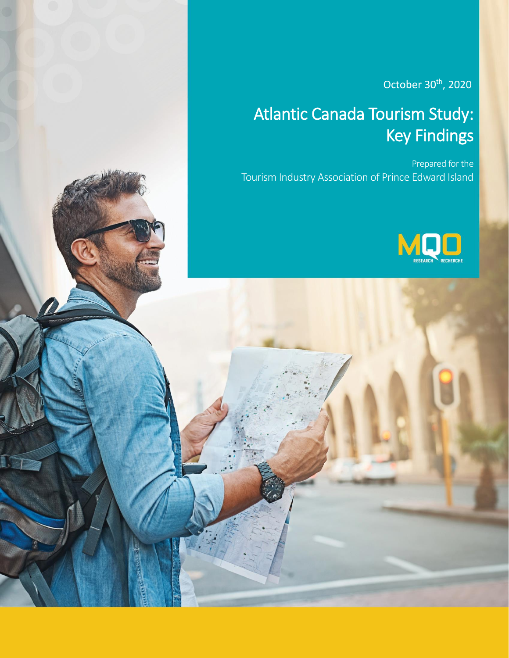October 30<sup>th</sup>, 2020

# Atlantic Canada Tourism Study: Key Findings

Prepared for the Tourism Industry Association of Prince Edward Island

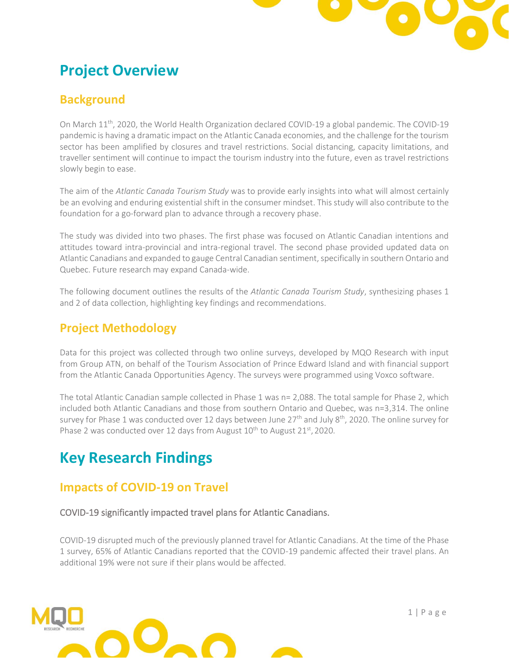

## **Project Overview**

### **Background**

On March 11<sup>th</sup>, 2020, the World Health Organization declared COVID-19 a global pandemic. The COVID-19 pandemic is having a dramatic impact on the Atlantic Canada economies, and the challenge for the tourism sector has been amplified by closures and travel restrictions. Social distancing, capacity limitations, and traveller sentiment will continue to impact the tourism industry into the future, even as travel restrictions slowly begin to ease.

The aim of the *Atlantic Canada Tourism Study* was to provide early insights into what will almost certainly be an evolving and enduring existential shift in the consumer mindset. This study will also contribute to the foundation for a go-forward plan to advance through a recovery phase.

The study was divided into two phases. The first phase was focused on Atlantic Canadian intentions and attitudes toward intra-provincial and intra-regional travel. The second phase provided updated data on Atlantic Canadians and expanded to gauge Central Canadian sentiment, specifically in southern Ontario and Quebec. Future research may expand Canada-wide.

The following document outlines the results of the *Atlantic Canada Tourism Study*, synthesizing phases 1 and 2 of data collection, highlighting key findings and recommendations.

### **Project Methodology**

Data for this project was collected through two online surveys, developed by MQO Research with input from Group ATN, on behalf of the Tourism Association of Prince Edward Island and with financial support from the Atlantic Canada Opportunities Agency. The surveys were programmed using Voxco software.

The total Atlantic Canadian sample collected in Phase 1 was n= 2,088. The total sample for Phase 2, which included both Atlantic Canadians and those from southern Ontario and Quebec, was n=3,314. The online survey for Phase 1 was conducted over 12 days between June 27<sup>th</sup> and July 8<sup>th</sup>, 2020. The online survey for Phase 2 was conducted over 12 days from August 10<sup>th</sup> to August 21<sup>st</sup>, 2020.

## **Key Research Findings**

## **Impacts of COVID-19 on Travel**

COVID-19 significantly impacted travel plans for Atlantic Canadians.

COVID-19 disrupted much of the previously planned travel for Atlantic Canadians. At the time of the Phase 1 survey, 65% of Atlantic Canadians reported that the COVID-19 pandemic affected their travel plans. An additional 19% were not sure if their plans would be affected.

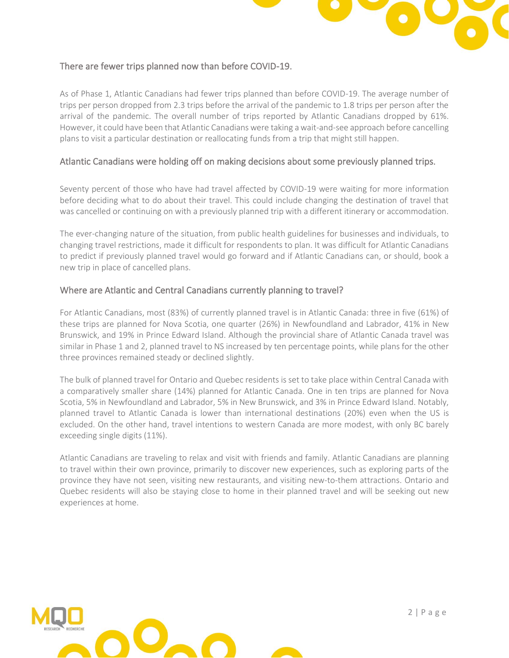

#### There are fewer trips planned now than before COVID-19.

As of Phase 1, Atlantic Canadians had fewer trips planned than before COVID-19. The average number of trips per person dropped from 2.3 trips before the arrival of the pandemic to 1.8 trips per person after the arrival of the pandemic. The overall number of trips reported by Atlantic Canadians dropped by 61%. However, it could have been that Atlantic Canadians were taking a wait-and-see approach before cancelling plans to visit a particular destination or reallocating funds from a trip that might still happen.

#### Atlantic Canadians were holding off on making decisions about some previously planned trips.

Seventy percent of those who have had travel affected by COVID-19 were waiting for more information before deciding what to do about their travel. This could include changing the destination of travel that was cancelled or continuing on with a previously planned trip with a different itinerary or accommodation.

The ever-changing nature of the situation, from public health guidelines for businesses and individuals, to changing travel restrictions, made it difficult for respondents to plan. It was difficult for Atlantic Canadians to predict if previously planned travel would go forward and if Atlantic Canadians can, or should, book a new trip in place of cancelled plans.

#### Where are Atlantic and Central Canadians currently planning to travel?

For Atlantic Canadians, most (83%) of currently planned travel is in Atlantic Canada: three in five (61%) of these trips are planned for Nova Scotia, one quarter (26%) in Newfoundland and Labrador, 41% in New Brunswick, and 19% in Prince Edward Island. Although the provincial share of Atlantic Canada travel was similar in Phase 1 and 2, planned travel to NS increased by ten percentage points, while plans for the other three provinces remained steady or declined slightly.

The bulk of planned travel for Ontario and Quebec residents is set to take place within Central Canada with a comparatively smaller share (14%) planned for Atlantic Canada. One in ten trips are planned for Nova Scotia, 5% in Newfoundland and Labrador, 5% in New Brunswick, and 3% in Prince Edward Island. Notably, planned travel to Atlantic Canada is lower than international destinations (20%) even when the US is excluded. On the other hand, travel intentions to western Canada are more modest, with only BC barely exceeding single digits (11%).

Atlantic Canadians are traveling to relax and visit with friends and family. Atlantic Canadians are planning to travel within their own province, primarily to discover new experiences, such as exploring parts of the province they have not seen, visiting new restaurants, and visiting new-to-them attractions. Ontario and Quebec residents will also be staying close to home in their planned travel and will be seeking out new experiences at home.

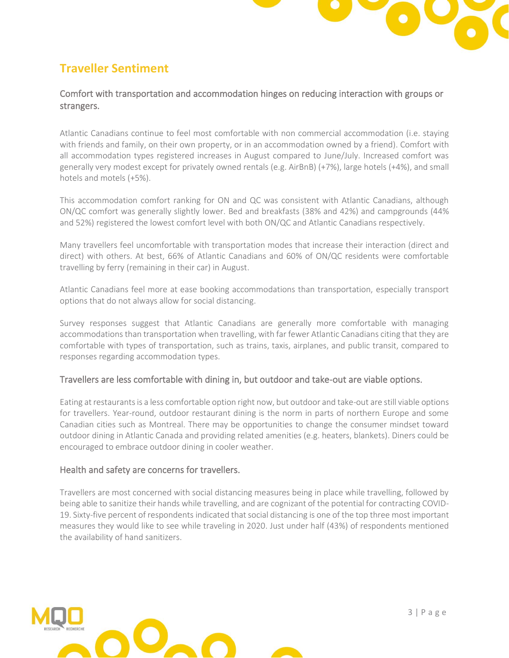

## **Traveller Sentiment**

#### Comfort with transportation and accommodation hinges on reducing interaction with groups or strangers.

Atlantic Canadians continue to feel most comfortable with non commercial accommodation (i.e. staying with friends and family, on their own property, or in an accommodation owned by a friend). Comfort with all accommodation types registered increases in August compared to June/July. Increased comfort was generally very modest except for privately owned rentals (e.g. AirBnB) (+7%), large hotels (+4%), and small hotels and motels (+5%).

This accommodation comfort ranking for ON and QC was consistent with Atlantic Canadians, although ON/QC comfort was generally slightly lower. Bed and breakfasts (38% and 42%) and campgrounds (44% and 52%) registered the lowest comfort level with both ON/QC and Atlantic Canadians respectively.

Many travellers feel uncomfortable with transportation modes that increase their interaction (direct and direct) with others. At best, 66% of Atlantic Canadians and 60% of ON/QC residents were comfortable travelling by ferry (remaining in their car) in August.

Atlantic Canadians feel more at ease booking accommodations than transportation, especially transport options that do not always allow for social distancing.

Survey responses suggest that Atlantic Canadians are generally more comfortable with managing accommodations than transportation when travelling, with far fewer Atlantic Canadians citing that they are comfortable with types of transportation, such as trains, taxis, airplanes, and public transit, compared to responses regarding accommodation types.

#### Travellers are less comfortable with dining in, but outdoor and take-out are viable options.

Eating at restaurants is a less comfortable option right now, but outdoor and take-out are still viable options for travellers. Year-round, outdoor restaurant dining is the norm in parts of northern Europe and some Canadian cities such as Montreal. There may be opportunities to change the consumer mindset toward outdoor dining in Atlantic Canada and providing related amenities (e.g. heaters, blankets). Diners could be encouraged to embrace outdoor dining in cooler weather.

#### Health and safety are concerns for travellers.

Travellers are most concerned with social distancing measures being in place while travelling, followed by being able to sanitize their hands while travelling, and are cognizant of the potential for contracting COVID-19. Sixty-five percent of respondents indicated that social distancing is one of the top three most important measures they would like to see while traveling in 2020. Just under half (43%) of respondents mentioned the availability of hand sanitizers.

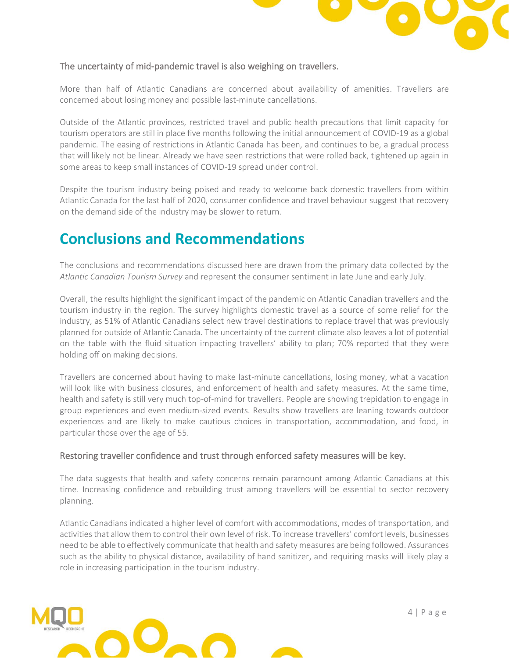

#### The uncertainty of mid-pandemic travel is also weighing on travellers.

More than half of Atlantic Canadians are concerned about availability of amenities. Travellers are concerned about losing money and possible last-minute cancellations.

Outside of the Atlantic provinces, restricted travel and public health precautions that limit capacity for tourism operators are still in place five months following the initial announcement of COVID-19 as a global pandemic. The easing of restrictions in Atlantic Canada has been, and continues to be, a gradual process that will likely not be linear. Already we have seen restrictions that were rolled back, tightened up again in some areas to keep small instances of COVID-19 spread under control.

Despite the tourism industry being poised and ready to welcome back domestic travellers from within Atlantic Canada for the last half of 2020, consumer confidence and travel behaviour suggest that recovery on the demand side of the industry may be slower to return.

## **Conclusions and Recommendations**

The conclusions and recommendations discussed here are drawn from the primary data collected by the *Atlantic Canadian Tourism Survey* and represent the consumer sentiment in late June and early July.

Overall, the results highlight the significant impact of the pandemic on Atlantic Canadian travellers and the tourism industry in the region. The survey highlights domestic travel as a source of some relief for the industry, as 51% of Atlantic Canadians select new travel destinations to replace travel that was previously planned for outside of Atlantic Canada. The uncertainty of the current climate also leaves a lot of potential on the table with the fluid situation impacting travellers' ability to plan; 70% reported that they were holding off on making decisions.

Travellers are concerned about having to make last-minute cancellations, losing money, what a vacation will look like with business closures, and enforcement of health and safety measures. At the same time, health and safety is still very much top-of-mind for travellers. People are showing trepidation to engage in group experiences and even medium-sized events. Results show travellers are leaning towards outdoor experiences and are likely to make cautious choices in transportation, accommodation, and food, in particular those over the age of 55.

#### Restoring traveller confidence and trust through enforced safety measures will be key.

The data suggests that health and safety concerns remain paramount among Atlantic Canadians at this time. Increasing confidence and rebuilding trust among travellers will be essential to sector recovery planning.

Atlantic Canadians indicated a higher level of comfort with accommodations, modes of transportation, and activities that allow them to control their own level of risk. To increase travellers' comfort levels, businesses need to be able to effectively communicate that health and safety measures are being followed. Assurances such as the ability to physical distance, availability of hand sanitizer, and requiring masks will likely play a role in increasing participation in the tourism industry.

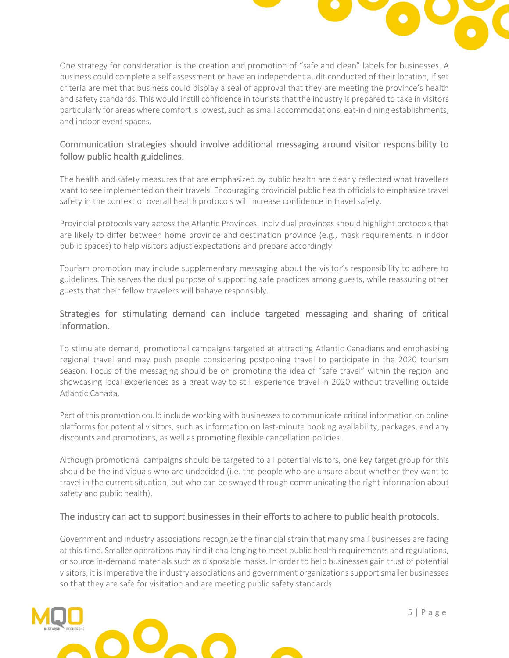

One strategy for consideration is the creation and promotion of "safe and clean" labels for businesses. A business could complete a self assessment or have an independent audit conducted of their location, if set criteria are met that business could display a seal of approval that they are meeting the province's health and safety standards. This would instill confidence in tourists that the industry is prepared to take in visitors particularly for areas where comfort is lowest, such as small accommodations, eat-in dining establishments, and indoor event spaces.

#### Communication strategies should involve additional messaging around visitor responsibility to follow public health guidelines.

The health and safety measures that are emphasized by public health are clearly reflected what travellers want to see implemented on their travels. Encouraging provincial public health officials to emphasize travel safety in the context of overall health protocols will increase confidence in travel safety.

Provincial protocols vary across the Atlantic Provinces. Individual provinces should highlight protocols that are likely to differ between home province and destination province (e.g., mask requirements in indoor public spaces) to help visitors adjust expectations and prepare accordingly.

Tourism promotion may include supplementary messaging about the visitor's responsibility to adhere to guidelines. This serves the dual purpose of supporting safe practices among guests, while reassuring other guests that their fellow travelers will behave responsibly.

#### Strategies for stimulating demand can include targeted messaging and sharing of critical information.

To stimulate demand, promotional campaigns targeted at attracting Atlantic Canadians and emphasizing regional travel and may push people considering postponing travel to participate in the 2020 tourism season. Focus of the messaging should be on promoting the idea of "safe travel" within the region and showcasing local experiences as a great way to still experience travel in 2020 without travelling outside Atlantic Canada.

Part of this promotion could include working with businesses to communicate critical information on online platforms for potential visitors, such as information on last-minute booking availability, packages, and any discounts and promotions, as well as promoting flexible cancellation policies.

Although promotional campaigns should be targeted to all potential visitors, one key target group for this should be the individuals who are undecided (i.e. the people who are unsure about whether they want to travel in the current situation, but who can be swayed through communicating the right information about safety and public health).

#### The industry can act to support businesses in their efforts to adhere to public health protocols.

Government and industry associations recognize the financial strain that many small businesses are facing at this time. Smaller operations may find it challenging to meet public health requirements and regulations, or source in-demand materials such as disposable masks. In order to help businesses gain trust of potential visitors, it is imperative the industry associations and government organizations support smaller businesses so that they are safe for visitation and are meeting public safety standards.